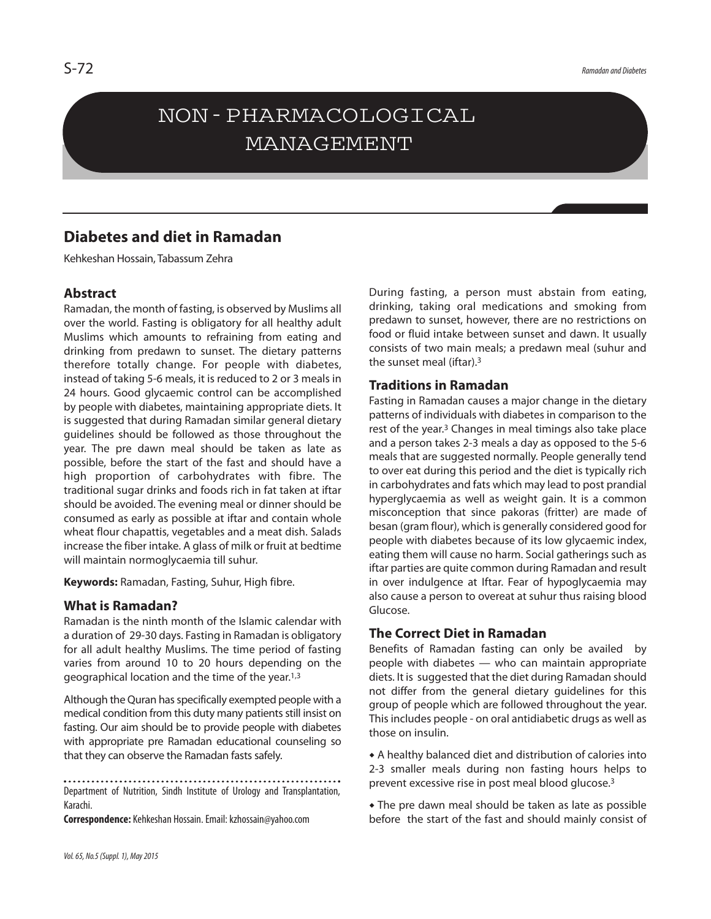## NON-PHARMACOLOGICAL MANAGEMENT

## **Diabetes and diet in Ramadan**

Kehkeshan Hossain, Tabassum Zehra

## **Abstract**

Ramadan, the month of fasting, is observed by Muslims all over the world. Fasting is obligatory for all healthy adult Muslims which amounts to refraining from eating and drinking from predawn to sunset. The dietary patterns therefore totally change. For people with diabetes, instead of taking 5-6 meals, it is reduced to 2 or 3 meals in 24 hours. Good glycaemic control can be accomplished by people with diabetes, maintaining appropriate diets. It is suggested that during Ramadan similar general dietary guidelines should be followed as those throughout the year. The pre dawn meal should be taken as late as possible, before the start of the fast and should have a high proportion of carbohydrates with fibre. The traditional sugar drinks and foods rich in fat taken at iftar should be avoided. The evening meal or dinner should be consumed as early as possible at iftar and contain whole wheat flour chapattis, vegetables and a meat dish. Salads increase the fiber intake. A glass of milk or fruit at bedtime will maintain normoglycaemia till suhur.

**Keywords:** Ramadan, Fasting, Suhur, High fibre.

## **What is Ramadan?**

Ramadan is the ninth month of the Islamic calendar with a duration of 29-30 days. Fasting in Ramadan is obligatory for all adult healthy Muslims. The time period of fasting varies from around 10 to 20 hours depending on the geographical location and the time of the year.<sup>1,3</sup>

Although the Quran has specifically exempted people with a medical condition from this duty many patients still insist on fasting. Our aim should be to provide people with diabetes with appropriate pre Ramadan educational counseling so that they can observe the Ramadan fasts safely.

Department of Nutrition, Sindh Institute of Urology and Transplantation, Karachi.

**Correspondence:** Kehkeshan Hossain. Email: kzhossain@yahoo.com

During fasting, a person must abstain from eating, drinking, taking oral medications and smoking from predawn to sunset, however, there are no restrictions on food or fluid intake between sunset and dawn. It usually consists of two main meals; a predawn meal (suhur and the sunset meal (iftar). 3

## **Traditions in Ramadan**

Fasting in Ramadan causes a major change in the dietary patterns of individuals with diabetes in comparison to the rest of the year. <sup>3</sup> Changes in meal timings also take place and a person takes 2-3 meals a day as opposed to the 5-6 meals that are suggested normally. People generally tend to over eat during this period and the diet is typically rich in carbohydrates and fats which may lead to post prandial hyperglycaemia as well as weight gain. It is a common misconception that since pakoras (fritter) are made of besan (gram flour), which is generally considered good for people with diabetes because of its low glycaemic index, eating them will cause no harm. Social gatherings such as iftar parties are quite common during Ramadan and result in over indulgence at Iftar. Fear of hypoglycaemia may also cause a person to overeat at suhur thus raising blood Glucose.

## **The Correct Diet in Ramadan**

Benefits of Ramadan fasting can only be availed by people with diabetes — who can maintain appropriate diets. It is suggested that the diet during Ramadan should not differ from the general dietary guidelines for this group of people which are followed throughout the year. This includes people - on oral antidiabetic drugs as well as those on insulin.

 A healthy balanced diet and distribution of calories into 2-3 smaller meals during non fasting hours helps to prevent excessive rise in post meal blood glucose. 3

 The pre dawn meal should be taken as late as possible before the start of the fast and should mainly consist of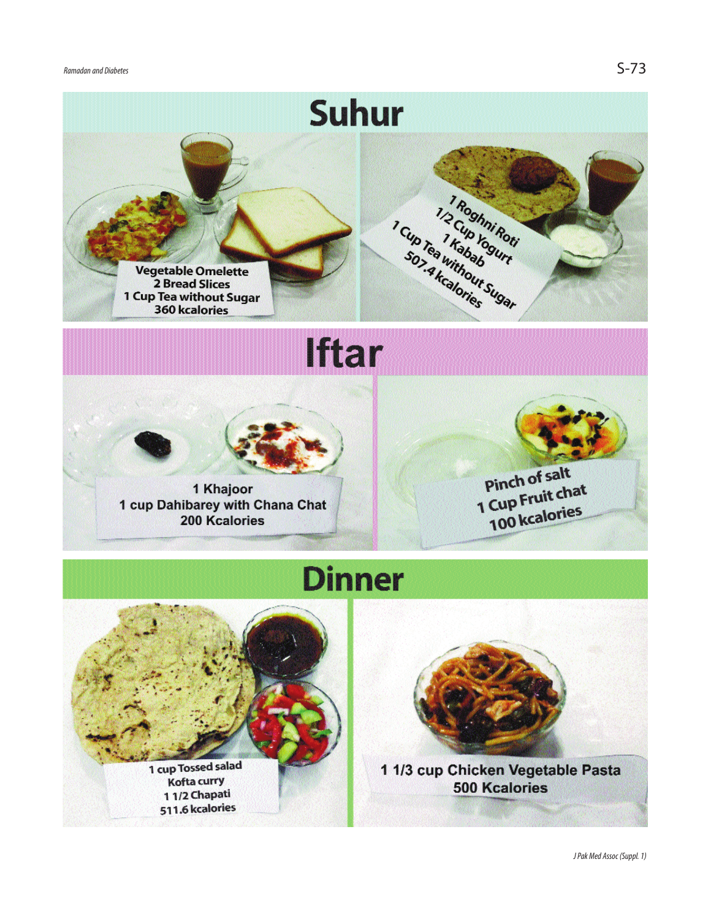





Suhur



1 Khajoor 1 cup Dahibarey with Chana Chat 200 Kcalories



# **Dinner**



Kofta curry 11/2 Chapati 511.6 kcalories



1 1/3 cup Chicken Vegetable Pasta **500 Kcalories**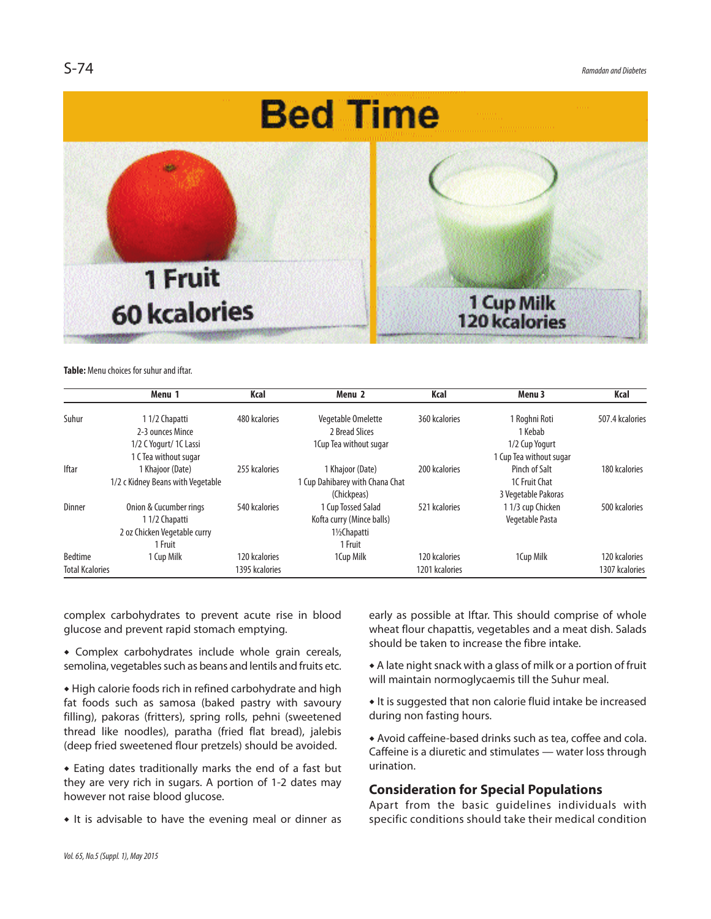

## **Table:** Menu choices for suhur and iftar.

|                        | Menu 1                            | Kcal           | Menu 2                          | Kcal           | Menu 3                  | Kcal            |
|------------------------|-----------------------------------|----------------|---------------------------------|----------------|-------------------------|-----------------|
| Suhur                  | 1 1/2 Chapatti                    | 480 kcalories  | Vegetable Omelette              | 360 kcalories  | 1 Roghni Roti           | 507.4 kcalories |
|                        | 2-3 ounces Mince                  |                | 2 Bread Slices                  |                | 1 Kebab                 |                 |
|                        | 1/2 C Yogurt/ 1C Lassi            |                | 1 Cup Tea without sugar         |                | 1/2 Cup Yogurt          |                 |
|                        | 1 C Tea without sugar             |                |                                 |                | 1 Cup Tea without sugar |                 |
| <b>Iftar</b>           | 1 Khajoor (Date)                  | 255 kcalories  | 1 Khajoor (Date)                | 200 kcalories  | Pinch of Salt           | 180 kcalories   |
|                        | 1/2 c Kidney Beans with Vegetable |                | l Cup Dahibarey with Chana Chat |                | 1C Fruit Chat           |                 |
|                        |                                   |                | (Chickpeas)                     |                | 3 Vegetable Pakoras     |                 |
| <b>Dinner</b>          | Onion & Cucumber rings            | 540 kcalories  | 1 Cup Tossed Salad              | 521 kcalories  | 1 1/3 cup Chicken       | 500 kcalories   |
|                        | 1 1/2 Chapatti                    |                | Kofta curry (Mince balls)       |                | Vegetable Pasta         |                 |
|                        | 2 oz Chicken Vegetable curry      |                | 1½Chapatti                      |                |                         |                 |
|                        | 1 Fruit                           |                | 1 Fruit                         |                |                         |                 |
| <b>Bedtime</b>         | 1 Cup Milk                        | 120 kcalories  | 1Cup Milk                       | 120 kcalories  | 1 Cup Milk              | 120 kcalories   |
| <b>Total Kcalories</b> |                                   | 1395 kcalories |                                 | 1201 kcalories |                         | 1307 kcalories  |

complex carbohydrates to prevent acute rise in blood glucose and prevent rapid stomach emptying.

 Complex carbohydrates include whole grain cereals, semolina, vegetables such as beans and lentils and fruits etc.

 High calorie foods rich in refined carbohydrate and high fat foods such as samosa (baked pastry with savoury filling), pakoras (fritters), spring rolls, pehni (sweetened thread like noodles), paratha (fried flat bread), jalebis (deep fried sweetened flour pretzels) should be avoided.

 Eating dates traditionally marks the end of a fast but they are very rich in sugars. A portion of 1-2 dates may however not raise blood glucose.

• It is advisable to have the evening meal or dinner as

early as possible at Iftar. This should comprise of whole wheat flour chapattis, vegetables and a meat dish. Salads should be taken to increase the fibre intake.

• A late night snack with a glass of milk or a portion of fruit will maintain normoglycaemis till the Suhur meal.

 It is suggested that non calorie fluid intake be increased during non fasting hours.

 Avoid caffeine-based drinks such as tea, coffee and cola. Caffeine is a diuretic and stimulates — water loss through urination.

## **Consideration for Special Populations**

Apart from the basic guidelines individuals with specific conditions should take their medical condition